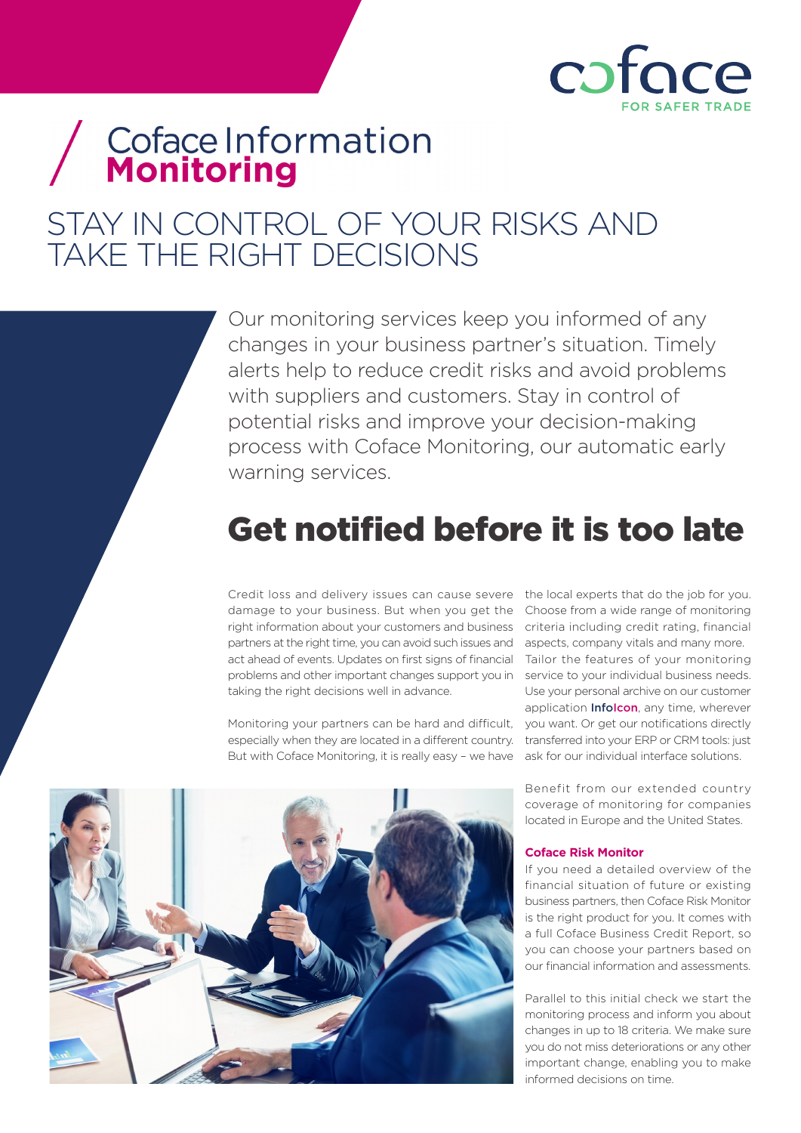

# / Coface Information

### STAY IN CONTROL OF YOUR RISKS AND TAKE THE RIGHT DECISIONS

Our monitoring services keep you informed of any changes in your business partner's situation. Timely alerts help to reduce credit risks and avoid problems with suppliers and customers. Stay in control of potential risks and improve your decision-making process with Coface Monitoring, our automatic early warning services.

## Get notified before it is too late

Credit loss and delivery issues can cause severe the local experts that do the job for you. damage to your business. But when you get the Choose from a wide range of monitoring right information about your customers and business partners at the right time, you can avoid such issues and act ahead of events. Updates on first signs of financial problems and other important changes support you in taking the right decisions well in advance.

Monitoring your partners can be hard and difficult, you want. Or get our notifications directly especially when they are located in a different country. But with Coface Monitoring, it is really easy – we have

criteria including credit rating, financial aspects, company vitals and many more. Tailor the features of your monitoring service to your individual business needs. Use your personal archive on our customer application **Infolcon**, any time, wherever transferred into your ERP or CRM tools: just ask for our individual interface solutions.



Benefit from our extended country coverage of monitoring for companies located in Europe and the United States.

#### **Coface Risk Monitor**

If you need a detailed overview of the financial situation of future or existing business partners, then Coface Risk Monitor is the right product for you. It comes with a full Coface Business Credit Report, so you can choose your partners based on our financial information and assessments.

Parallel to this initial check we start the monitoring process and inform you about changes in up to 18 criteria. We make sure you do not miss deteriorations or any other important change, enabling you to make informed decisions on time.